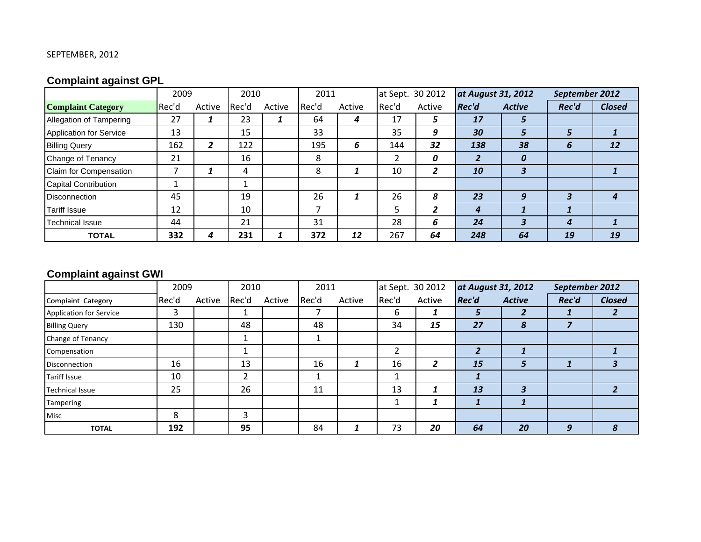## SEPTEMBER, 2012

# **Complaint against GPL**

|                                | 2009  |        | 2010  |        | 2011  |        | at Sept. 30 2012 |        | at August 31, 2012 |                         | September 2012 |               |
|--------------------------------|-------|--------|-------|--------|-------|--------|------------------|--------|--------------------|-------------------------|----------------|---------------|
| <b>Complaint Category</b>      | Rec'd | Active | Rec'd | Active | Rec'd | Active | Rec'd            | Active | <b>Rec'd</b>       | <b>Active</b>           | Rec'd          | <b>Closed</b> |
| Allegation of Tampering        | 27    |        | 23    |        | 64    | 4      | 17               |        | 17                 | ÷.                      |                |               |
| <b>Application for Service</b> | 13    |        | 15    |        | 33    |        | 35               | 9      | 30                 | ∍                       | 5              |               |
| <b>Billing Query</b>           | 162   | 2      | 122   |        | 195   | 6      | 144              | 32     | 138                | 38                      | 6              | 12            |
| Change of Tenancy              | 21    |        | 16    |        | 8     |        |                  | 0      |                    | 0                       |                |               |
| Claim for Compensation         |       |        | 4     |        | 8     |        | 10               | 7      | 10                 | $\overline{\mathbf{3}}$ |                |               |
| <b>Capital Contribution</b>    |       |        |       |        |       |        |                  |        |                    |                         |                |               |
| <b>Disconnection</b>           | 45    |        | 19    |        | 26    |        | 26               | 8      | 23                 | 9                       | 3              |               |
| <b>Tariff Issue</b>            | 12    |        | 10    |        |       |        | 5                | -      | 4                  |                         |                |               |
| <b>Technical Issue</b>         | 44    |        | 21    |        | 31    |        | 28               | 6      | 24                 |                         | 4              |               |
| <b>TOTAL</b>                   | 332   | 4      | 231   |        | 372   | 12     | 267              | 64     | 248                | 64                      | 19             | 19            |

# **Complaint against GWI**

|                         | 2009  |        | 2010  |        | 2011  |        | at Sept. 30 2012 |        | at August 31, 2012 |               | September 2012 |               |
|-------------------------|-------|--------|-------|--------|-------|--------|------------------|--------|--------------------|---------------|----------------|---------------|
| Complaint Category      | Rec'd | Active | Rec'd | Active | Rec'd | Active | Rec'd            | Active | <b>Rec'd</b>       | <b>Active</b> | Rec'd          | <b>Closed</b> |
| Application for Service | 3     |        |       |        | ⇁     |        | 6                |        | 5                  |               |                |               |
| <b>Billing Query</b>    | 130   |        | 48    |        | 48    |        | 34               | 15     | 27                 | 8             |                |               |
| Change of Tenancy       |       |        |       |        | ┻     |        |                  |        |                    |               |                |               |
| Compensation            |       |        |       |        |       |        | ำ                |        | $\overline{2}$     |               |                |               |
| <b>Disconnection</b>    | 16    |        | 13    |        | 16    |        | 16               | ∍      | 15                 | 5             |                | 3             |
| <b>Tariff Issue</b>     | 10    |        |       |        | J.    |        |                  |        |                    |               |                |               |
| <b>Technical Issue</b>  | 25    |        | 26    |        | 11    |        | 13               |        | 13                 |               |                |               |
| Tampering               |       |        |       |        |       |        |                  |        |                    |               |                |               |
| Misc                    | 8     |        | ີ     |        |       |        |                  |        |                    |               |                |               |
| <b>TOTAL</b>            | 192   |        | 95    |        | 84    |        | 73               | 20     | 64                 | 20            | 9              | 8             |